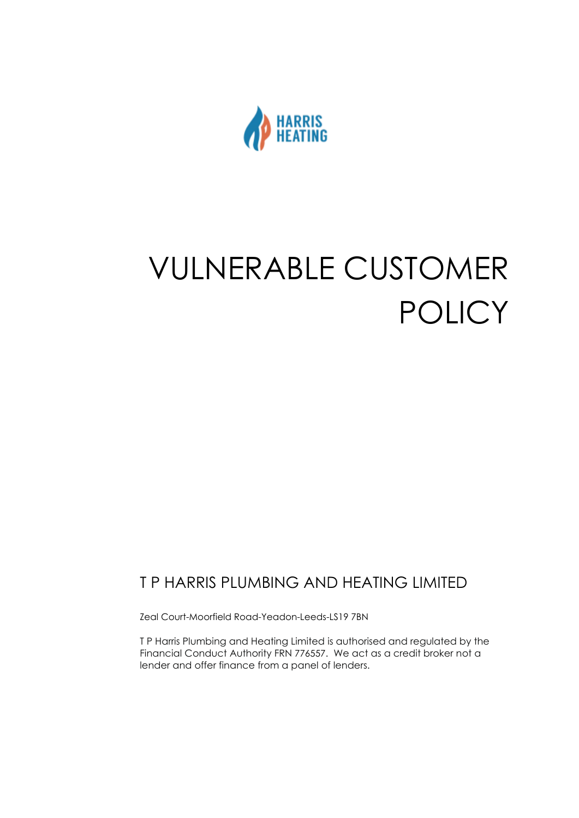

# VULNERABLE CUSTOMER POLICY

### T P HARRIS PLUMBING AND HEATING LIMITED

Zeal Court-Moorfield Road-Yeadon-Leeds-LS19 7BN

T P Harris Plumbing and Heating Limited is authorised and regulated by the Financial Conduct Authority FRN 776557. We act as a credit broker not a lender and offer finance from a panel of lenders.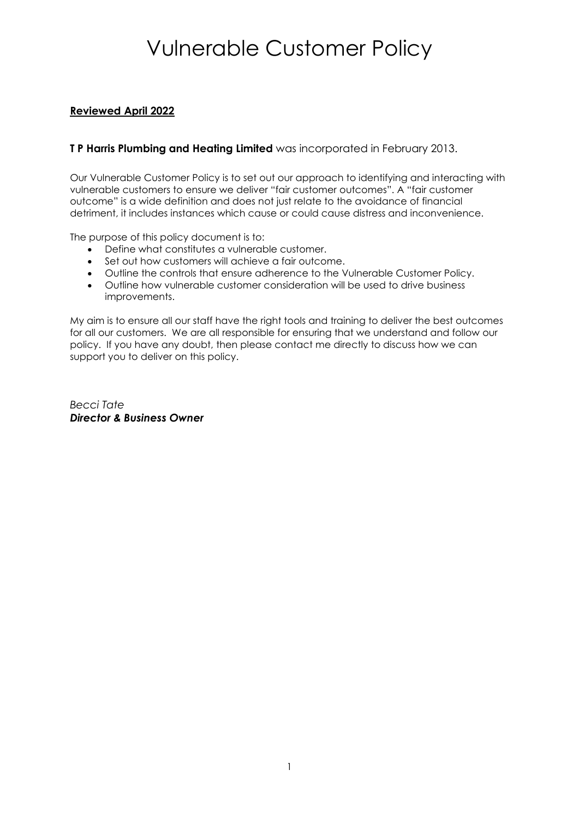#### **Reviewed April 2022**

#### **T P Harris Plumbing and Heating Limited** was incorporated in February 2013.

Our Vulnerable Customer Policy is to set out our approach to identifying and interacting with vulnerable customers to ensure we deliver "fair customer outcomes". A "fair customer outcome" is a wide definition and does not just relate to the avoidance of financial detriment, it includes instances which cause or could cause distress and inconvenience.

The purpose of this policy document is to:

- Define what constitutes a vulnerable customer.
- Set out how customers will achieve a fair outcome.
- Outline the controls that ensure adherence to the Vulnerable Customer Policy.
- Outline how vulnerable customer consideration will be used to drive business improvements.

My aim is to ensure all our staff have the right tools and training to deliver the best outcomes for all our customers. We are all responsible for ensuring that we understand and follow our policy. If you have any doubt, then please contact me directly to discuss how we can support you to deliver on this policy.

*Becci Tate Director & Business Owner*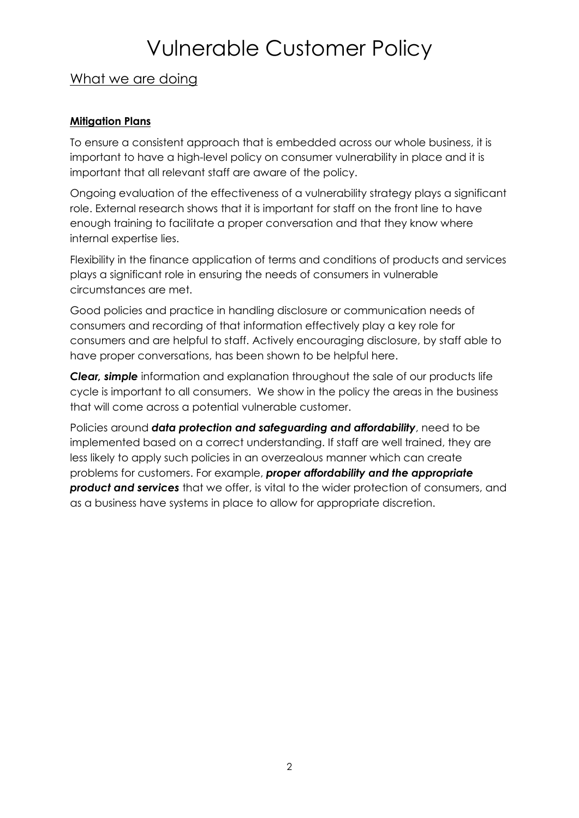### What we are doing

#### **Mitigation Plans**

To ensure a consistent approach that is embedded across our whole business, it is important to have a high-level policy on consumer vulnerability in place and it is important that all relevant staff are aware of the policy.

Ongoing evaluation of the effectiveness of a vulnerability strategy plays a significant role. External research shows that it is important for staff on the front line to have enough training to facilitate a proper conversation and that they know where internal expertise lies.

Flexibility in the finance application of terms and conditions of products and services plays a significant role in ensuring the needs of consumers in vulnerable circumstances are met.

Good policies and practice in handling disclosure or communication needs of consumers and recording of that information effectively play a key role for consumers and are helpful to staff. Actively encouraging disclosure, by staff able to have proper conversations, has been shown to be helpful here.

*Clear, simple* information and explanation throughout the sale of our products life cycle is important to all consumers. We show in the policy the areas in the business that will come across a potential vulnerable customer.

Policies around *data protection and safeguarding and affordability*, need to be implemented based on a correct understanding. If staff are well trained, they are less likely to apply such policies in an overzealous manner which can create problems for customers. For example, *proper affordability and the appropriate product and services* that we offer, is vital to the wider protection of consumers, and as a business have systems in place to allow for appropriate discretion.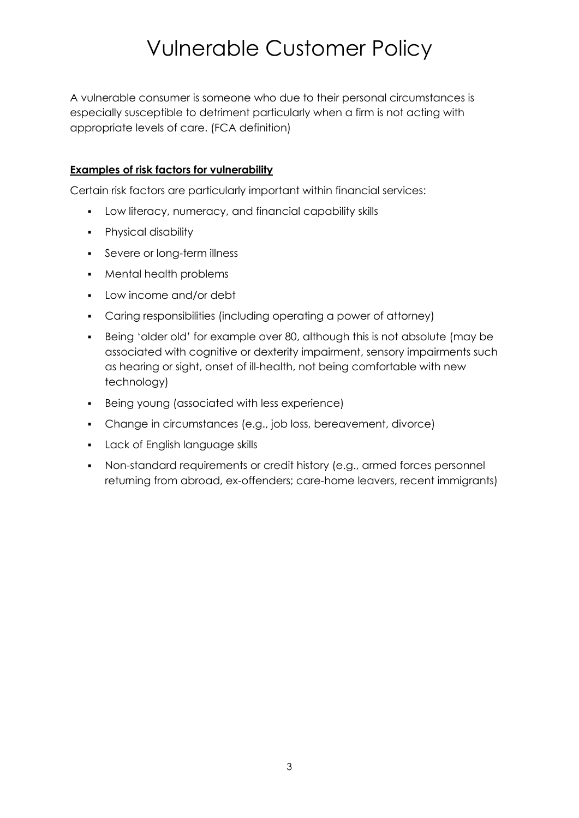A vulnerable consumer is someone who due to their personal circumstances is especially susceptible to detriment particularly when a firm is not acting with appropriate levels of care. (FCA definition)

#### **Examples of risk factors for vulnerability**

Certain risk factors are particularly important within financial services:

- Low literacy, numeracy, and financial capability skills
- Physical disability
- Severe or long-term illness
- Mental health problems
- Low income and/or debt
- Caring responsibilities (including operating a power of attorney)
- Being 'older old' for example over 80, although this is not absolute (may be associated with cognitive or dexterity impairment, sensory impairments such as hearing or sight, onset of ill-health, not being comfortable with new technology)
- Being young (associated with less experience)
- Change in circumstances (e.g., job loss, bereavement, divorce)
- Lack of English language skills
- Non-standard requirements or credit history (e.g., armed forces personnel returning from abroad, ex-offenders; care-home leavers, recent immigrants)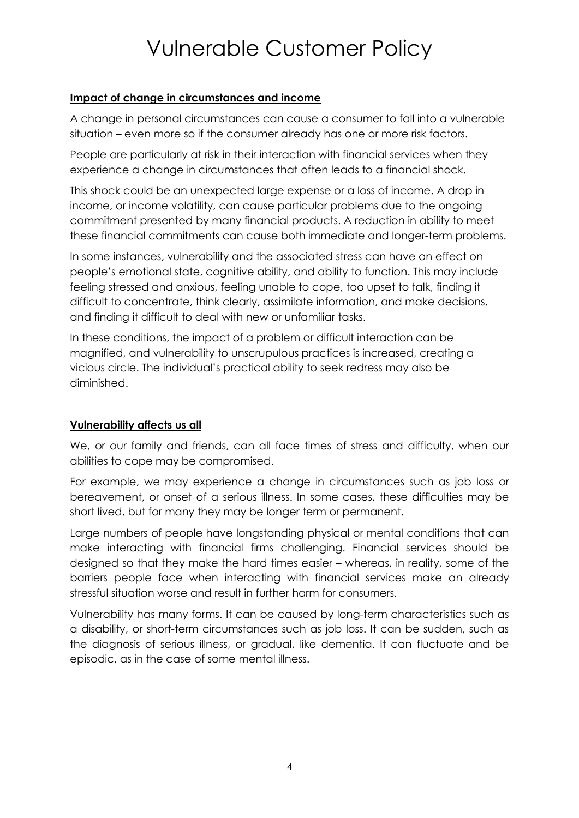#### **Impact of change in circumstances and income**

A change in personal circumstances can cause a consumer to fall into a vulnerable situation – even more so if the consumer already has one or more risk factors.

People are particularly at risk in their interaction with financial services when they experience a change in circumstances that often leads to a financial shock.

This shock could be an unexpected large expense or a loss of income. A drop in income, or income volatility, can cause particular problems due to the ongoing commitment presented by many financial products. A reduction in ability to meet these financial commitments can cause both immediate and longer-term problems.

In some instances, vulnerability and the associated stress can have an effect on people's emotional state, cognitive ability, and ability to function. This may include feeling stressed and anxious, feeling unable to cope, too upset to talk, finding it difficult to concentrate, think clearly, assimilate information, and make decisions, and finding it difficult to deal with new or unfamiliar tasks.

In these conditions, the impact of a problem or difficult interaction can be magnified, and vulnerability to unscrupulous practices is increased, creating a vicious circle. The individual's practical ability to seek redress may also be diminished.

#### **Vulnerability affects us all**

We, or our family and friends, can all face times of stress and difficulty, when our abilities to cope may be compromised.

For example, we may experience a change in circumstances such as job loss or bereavement, or onset of a serious illness. In some cases, these difficulties may be short lived, but for many they may be longer term or permanent.

Large numbers of people have longstanding physical or mental conditions that can make interacting with financial firms challenging. Financial services should be designed so that they make the hard times easier – whereas, in reality, some of the barriers people face when interacting with financial services make an already stressful situation worse and result in further harm for consumers.

Vulnerability has many forms. It can be caused by long-term characteristics such as a disability, or short-term circumstances such as job loss. It can be sudden, such as the diagnosis of serious illness, or gradual, like dementia. It can fluctuate and be episodic, as in the case of some mental illness.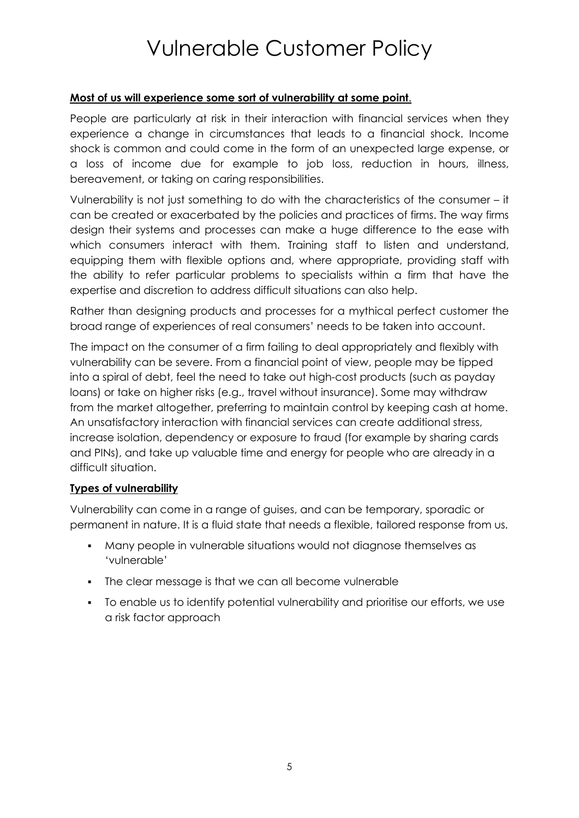#### **Most of us will experience some sort of vulnerability at some point**.

People are particularly at risk in their interaction with financial services when they experience a change in circumstances that leads to a financial shock. Income shock is common and could come in the form of an unexpected large expense, or a loss of income due for example to job loss, reduction in hours, illness, bereavement, or taking on caring responsibilities.

Vulnerability is not just something to do with the characteristics of the consumer – it can be created or exacerbated by the policies and practices of firms. The way firms design their systems and processes can make a huge difference to the ease with which consumers interact with them. Training staff to listen and understand, equipping them with flexible options and, where appropriate, providing staff with the ability to refer particular problems to specialists within a firm that have the expertise and discretion to address difficult situations can also help.

Rather than designing products and processes for a mythical perfect customer the broad range of experiences of real consumers' needs to be taken into account.

The impact on the consumer of a firm failing to deal appropriately and flexibly with vulnerability can be severe. From a financial point of view, people may be tipped into a spiral of debt, feel the need to take out high-cost products (such as payday loans) or take on higher risks (e.g., travel without insurance). Some may withdraw from the market altogether, preferring to maintain control by keeping cash at home. An unsatisfactory interaction with financial services can create additional stress, increase isolation, dependency or exposure to fraud (for example by sharing cards and PINs), and take up valuable time and energy for people who are already in a difficult situation.

#### **Types of vulnerability**

Vulnerability can come in a range of guises, and can be temporary, sporadic or permanent in nature. It is a fluid state that needs a flexible, tailored response from us.

- Many people in vulnerable situations would not diagnose themselves as 'vulnerable'
- The clear message is that we can all become vulnerable
- To enable us to identify potential vulnerability and prioritise our efforts, we use a risk factor approach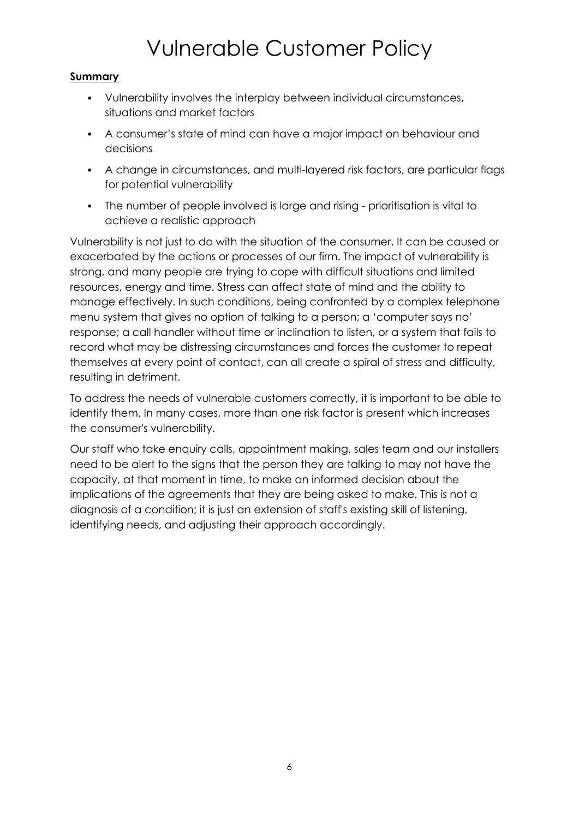### **Summary**

- Vulnerability involves the interplay between individual circumstances, situations and market factors
- A consumer's state of mind can have a major impact on behaviour and decisions
- A change in circumstances, and multi-layered risk factors, are particular flags for potential vulnerability
- The number of people involved is large and rising prioritisation is vital to achieve a realistic approach

Vulnerability is not just to do with the situation of the consumer. It can be caused or exacerbated by the actions or processes of our firm. The impact of vulnerability is strong, and many people are trying to cope with difficult situations and limited resources, energy and time. Stress can affect state of mind and the ability to manage effectively. In such conditions, being confronted by a complex telephone menu system that gives no option of talking to a person; a 'computer says no' response; a call handler without time or inclination to listen, or a system that fails to record what may be distressing circumstances and forces the customer to repeat themselves at every point of contact, can all create a spiral of stress and difficulty, resulting in detriment.

To address the needs of vulnerable customers correctly, it is important to be able to identify them. In many cases, more than one risk factor is present which increases the consumer's vulnerability.

Our staff who take enquiry calls, appointment making, sales team and our installers need to be alert to the signs that the person they are talking to may not have the capacity, at that moment in time, to make an informed decision about the implications of the agreements that they are being asked to make. This is not a diagnosis of a condition; it is just an extension of staff's existing skill of listening, identifying needs, and adjusting their approach accordingly.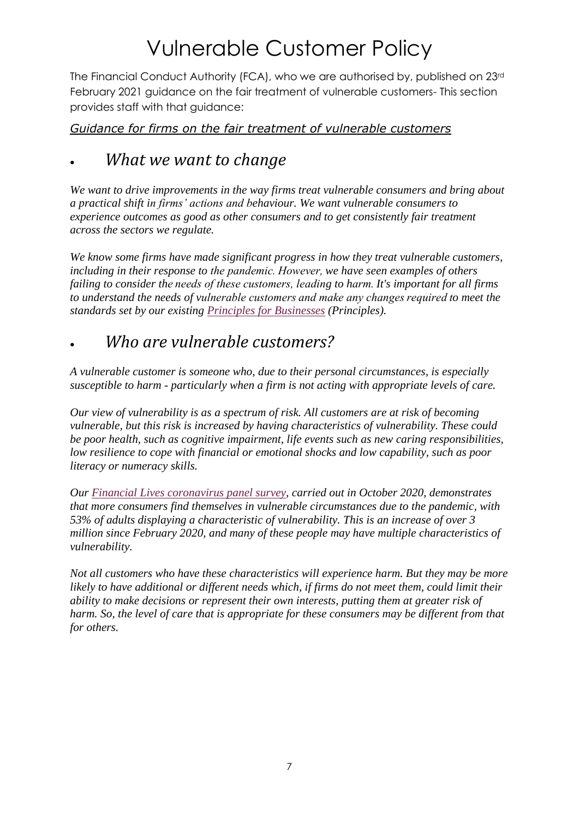The Financial Conduct Authority (FCA), who we are authorised by, published on 23rd February 2021 guidance on the fair treatment of vulnerable customers- This section provides staff with that guidance:

### *Guidance for firms on the fair treatment of vulnerable customers*

### • *What we want to change*

*We want to drive improvements in the way firms treat vulnerable consumers and bring about a practical shift in firms' actions and behaviour. We want vulnerable consumers to experience outcomes as good as other consumers and to get consistently fair treatment across the sectors we regulate.*

*We know some firms have made significant progress in how they treat vulnerable customers, including in their response to the pandemic. However, we have seen examples of others failing to consider the needs of these customers, leading to harm. It's important for all firms to understand the needs of vulnerable customers and make any changes required to meet the standards set by our existing [Principles for Businesses](https://www.handbook.fca.org.uk/handbook/PRIN/) (Principles).*

### • *Who are vulnerable customers?*

*A vulnerable customer is someone who, due to their personal circumstances, is especially susceptible to harm - particularly when a firm is not acting with appropriate levels of care.* 

*Our view of vulnerability is as a spectrum of risk. All customers are at risk of becoming vulnerable, but this risk is increased by having characteristics of vulnerability. These could be poor health, such as cognitive impairment, life events such as new caring responsibilities, low resilience to cope with financial or emotional shocks and low capability, such as poor literacy or numeracy skills.*

*Our [Financial Lives coronavirus](https://www.fca.org.uk/publications/research/financial-lives) panel survey, carried out in October 2020, demonstrates that more consumers find themselves in vulnerable circumstances due to the pandemic, with 53% of adults displaying a characteristic of vulnerability. This is an increase of over 3 million since February 2020, and many of these people may have multiple characteristics of vulnerability.*

*Not all customers who have these characteristics will experience harm. But they may be more likely to have additional or different needs which, if firms do not meet them, could limit their ability to make decisions or represent their own interests, putting them at greater risk of harm. So, the level of care that is appropriate for these consumers may be different from that for others.*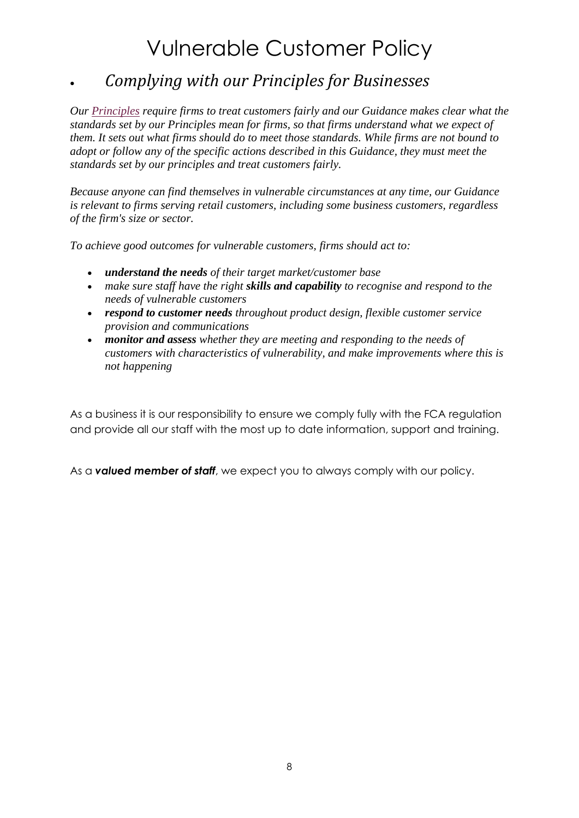### • *Complying with our Principles for Businesses*

*Our [Principles](https://www.handbook.fca.org.uk/handbook/PRIN/) require firms to treat customers fairly and our Guidance makes clear what the standards set by our Principles mean for firms, so that firms understand what we expect of them. It sets out what firms should do to meet those standards. While firms are not bound to adopt or follow any of the specific actions described in this Guidance, they must meet the standards set by our principles and treat customers fairly.*

*Because anyone can find themselves in vulnerable circumstances at any time, our Guidance is relevant to firms serving retail customers, including some business customers, regardless of the firm's size or sector.*

*To achieve good outcomes for vulnerable customers, firms should act to:* 

- *understand the needs of their target market/customer base*
- *make sure staff have the right skills and capability to recognise and respond to the needs of vulnerable customers*
- *respond to customer needs throughout product design, flexible customer service provision and communications*
- *monitor and assess whether they are meeting and responding to the needs of customers with characteristics of vulnerability, and make improvements where this is not happening*

As a business it is our responsibility to ensure we comply fully with the FCA regulation and provide all our staff with the most up to date information, support and training.

As a *valued member of staff*, we expect you to always comply with our policy.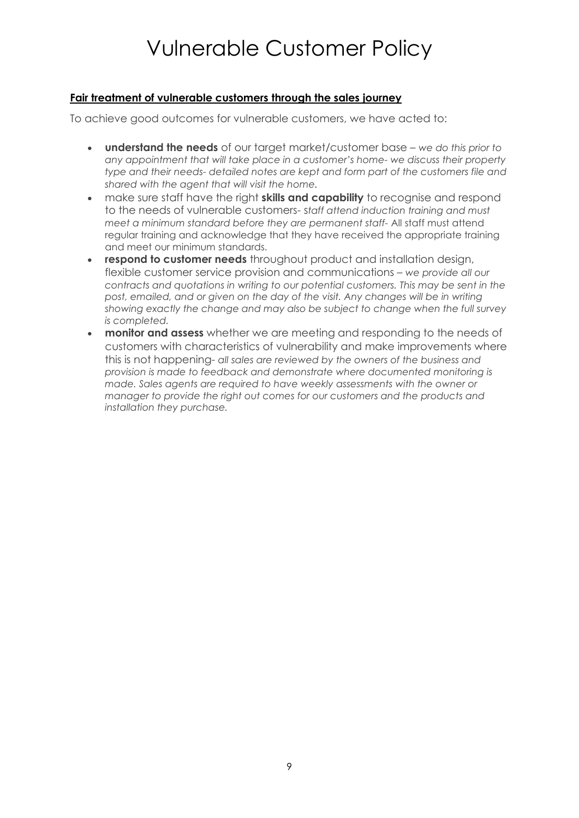#### **Fair treatment of vulnerable customers through the sales journey**

To achieve good outcomes for vulnerable customers, we have acted to:

- **understand the needs** of our target market/customer base *we do this prior to any appointment that will take place in a customer's home- we discuss their property type and their needs- detailed notes are kept and form part of the customers file and shared with the agent that will visit the home.*
- make sure staff have the right **skills and capability** to recognise and respond to the needs of vulnerable customers- s*taff attend induction training and must meet a minimum standard before they are permanent staff-* All staff must attend regular training and acknowledge that they have received the appropriate training and meet our minimum standards.
- **respond to customer needs** throughout product and installation design, flexible customer service provision and communications – *we provide all our contracts and quotations in writing to our potential customers. This may be sent in the post, emailed, and or given on the day of the visit. Any changes will be in writing showing exactly the change and may also be subject to change when the full survey is completed.*
- **monitor and assess** whether we are meeting and responding to the needs of customers with characteristics of vulnerability and make improvements where this is not happening- *all sales are reviewed by the owners of the business and provision is made to feedback and demonstrate where documented monitoring is made. Sales agents are required to have weekly assessments with the owner or manager to provide the right out comes for our customers and the products and installation they purchase.*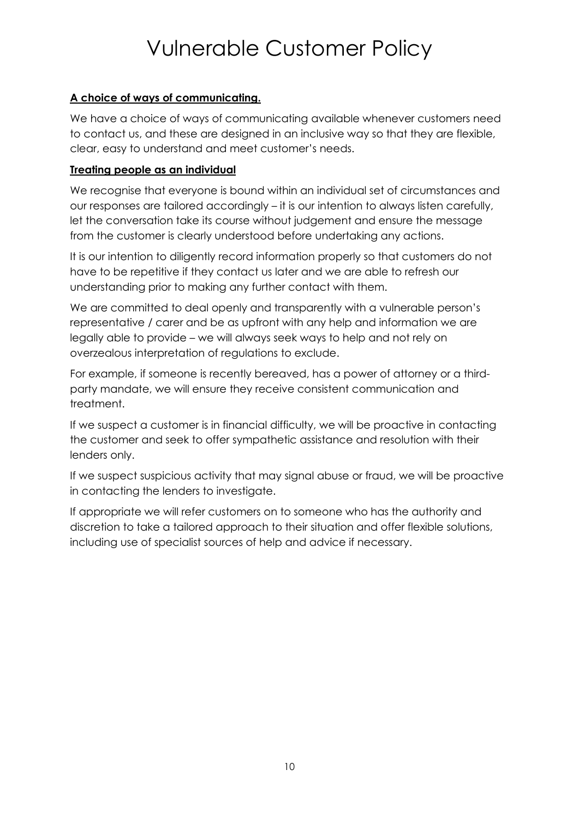#### **A choice of ways of communicating.**

We have a choice of ways of communicating available whenever customers need to contact us, and these are designed in an inclusive way so that they are flexible, clear, easy to understand and meet customer's needs.

#### **Treating people as an individual**

We recognise that everyone is bound within an individual set of circumstances and our responses are tailored accordingly – it is our intention to always listen carefully, let the conversation take its course without judgement and ensure the message from the customer is clearly understood before undertaking any actions.

It is our intention to diligently record information properly so that customers do not have to be repetitive if they contact us later and we are able to refresh our understanding prior to making any further contact with them.

We are committed to deal openly and transparently with a vulnerable person's representative / carer and be as upfront with any help and information we are legally able to provide – we will always seek ways to help and not rely on overzealous interpretation of regulations to exclude.

For example, if someone is recently bereaved, has a power of attorney or a thirdparty mandate, we will ensure they receive consistent communication and treatment.

If we suspect a customer is in financial difficulty, we will be proactive in contacting the customer and seek to offer sympathetic assistance and resolution with their lenders only.

If we suspect suspicious activity that may signal abuse or fraud, we will be proactive in contacting the lenders to investigate.

If appropriate we will refer customers on to someone who has the authority and discretion to take a tailored approach to their situation and offer flexible solutions, including use of specialist sources of help and advice if necessary.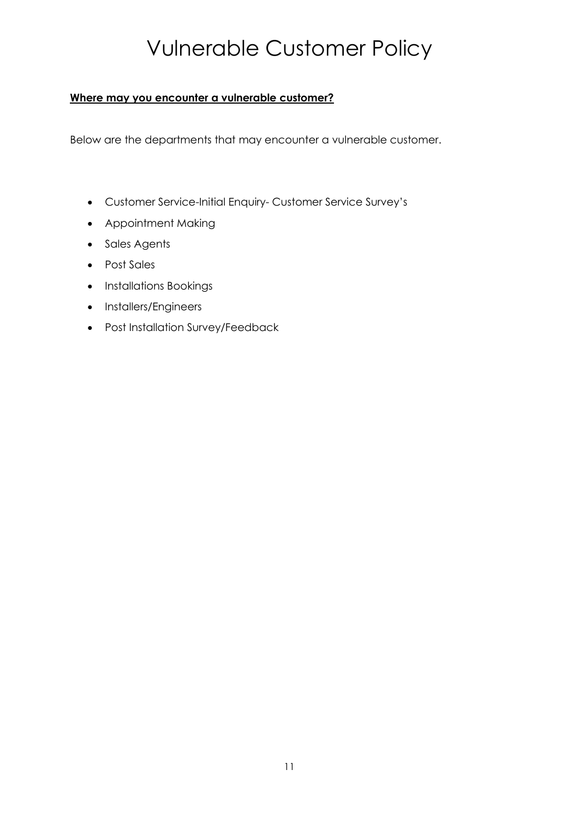#### **Where may you encounter a vulnerable customer?**

Below are the departments that may encounter a vulnerable customer.

- Customer Service-Initial Enquiry- Customer Service Survey's
- Appointment Making
- Sales Agents
- Post Sales
- Installations Bookings
- Installers/Engineers
- Post Installation Survey/Feedback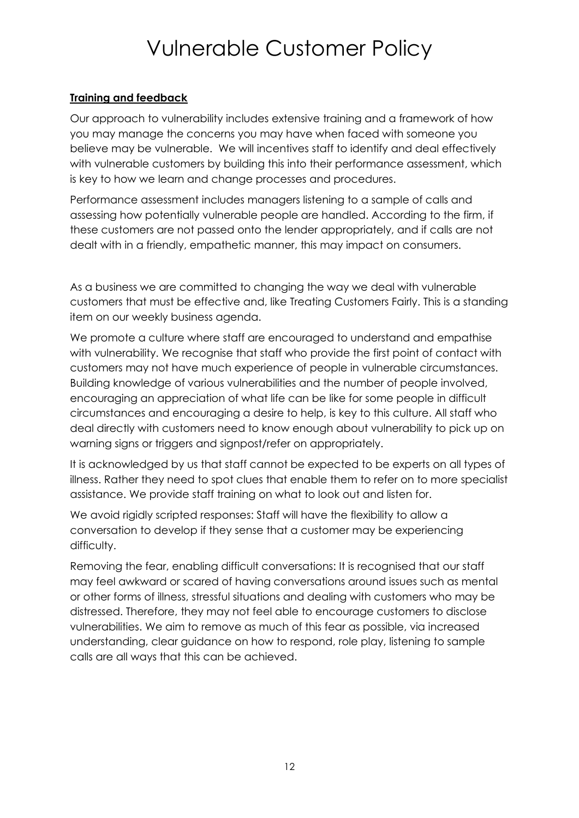#### **Training and feedback**

Our approach to vulnerability includes extensive training and a framework of how you may manage the concerns you may have when faced with someone you believe may be vulnerable. We will incentives staff to identify and deal effectively with vulnerable customers by building this into their performance assessment, which is key to how we learn and change processes and procedures.

Performance assessment includes managers listening to a sample of calls and assessing how potentially vulnerable people are handled. According to the firm, if these customers are not passed onto the lender appropriately, and if calls are not dealt with in a friendly, empathetic manner, this may impact on consumers.

As a business we are committed to changing the way we deal with vulnerable customers that must be effective and, like Treating Customers Fairly. This is a standing item on our weekly business agenda.

We promote a culture where staff are encouraged to understand and empathise with vulnerability. We recognise that staff who provide the first point of contact with customers may not have much experience of people in vulnerable circumstances. Building knowledge of various vulnerabilities and the number of people involved, encouraging an appreciation of what life can be like for some people in difficult circumstances and encouraging a desire to help, is key to this culture. All staff who deal directly with customers need to know enough about vulnerability to pick up on warning signs or triggers and signpost/refer on appropriately.

It is acknowledged by us that staff cannot be expected to be experts on all types of illness. Rather they need to spot clues that enable them to refer on to more specialist assistance. We provide staff training on what to look out and listen for.

We avoid rigidly scripted responses: Staff will have the flexibility to allow a conversation to develop if they sense that a customer may be experiencing difficulty.

Removing the fear, enabling difficult conversations: It is recognised that our staff may feel awkward or scared of having conversations around issues such as mental or other forms of illness, stressful situations and dealing with customers who may be distressed. Therefore, they may not feel able to encourage customers to disclose vulnerabilities. We aim to remove as much of this fear as possible, via increased understanding, clear guidance on how to respond, role play, listening to sample calls are all ways that this can be achieved.